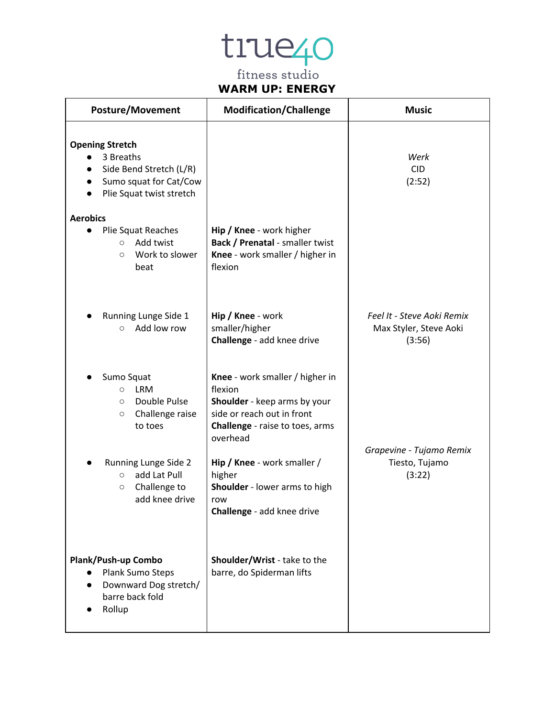#### **WARM UP: ENERGY**

| <b>Posture/Movement</b>                                                                                              | <b>Modification/Challenge</b>                                                                                                                           | <b>Music</b>                                                   |
|----------------------------------------------------------------------------------------------------------------------|---------------------------------------------------------------------------------------------------------------------------------------------------------|----------------------------------------------------------------|
| <b>Opening Stretch</b><br>3 Breaths<br>Side Bend Stretch (L/R)<br>Sumo squat for Cat/Cow<br>Plie Squat twist stretch |                                                                                                                                                         | Werk<br><b>CID</b><br>(2:52)                                   |
| <b>Aerobics</b><br>Plie Squat Reaches<br>$\bullet$<br>Add twist<br>$\circ$<br>Work to slower<br>$\circ$<br>beat      | Hip / Knee - work higher<br><b>Back / Prenatal - smaller twist</b><br>Knee - work smaller / higher in<br>flexion                                        |                                                                |
| Running Lunge Side 1<br>Add low row<br>$\circ$                                                                       | Hip / Knee - work<br>smaller/higher<br>Challenge - add knee drive                                                                                       | Feel It - Steve Aoki Remix<br>Max Styler, Steve Aoki<br>(3:56) |
| Sumo Squat<br><b>LRM</b><br>$\circ$<br>Double Pulse<br>$\circ$<br>Challenge raise<br>$\circ$<br>to toes              | Knee - work smaller / higher in<br>flexion<br>Shoulder - keep arms by your<br>side or reach out in front<br>Challenge - raise to toes, arms<br>overhead |                                                                |
| Running Lunge Side 2<br>add Lat Pull<br>$\circ$<br>Challenge to<br>$\circ$<br>add knee drive                         | Hip / Knee - work smaller /<br>higher<br>Shoulder - lower arms to high<br>row<br>Challenge - add knee drive                                             | Grapevine - Tujamo Remix<br>Tiesto, Tujamo<br>(3:22)           |
| Plank/Push-up Combo<br>Plank Sumo Steps<br>Downward Dog stretch/<br>$\bullet$<br>barre back fold<br>Rollup           | Shoulder/Wrist - take to the<br>barre, do Spiderman lifts                                                                                               |                                                                |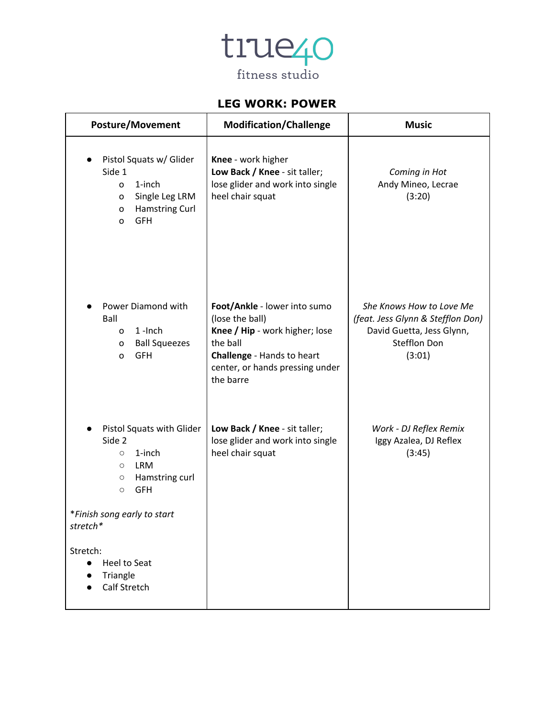

#### **LEG WORK: POWER**

| <b>Posture/Movement</b>                                                                                                                                                                                                                                                    | <b>Modification/Challenge</b>                                                                                                                                               | <b>Music</b>                                                                                                                |
|----------------------------------------------------------------------------------------------------------------------------------------------------------------------------------------------------------------------------------------------------------------------------|-----------------------------------------------------------------------------------------------------------------------------------------------------------------------------|-----------------------------------------------------------------------------------------------------------------------------|
| Pistol Squats w/ Glider<br>Side 1<br>1-inch<br>$\Omega$<br>Single Leg LRM<br>o<br><b>Hamstring Curl</b><br>o<br><b>GFH</b><br>O                                                                                                                                            | Knee - work higher<br>Low Back / Knee - sit taller;<br>lose glider and work into single<br>heel chair squat                                                                 | Coming in Hot<br>Andy Mineo, Lecrae<br>(3:20)                                                                               |
| Power Diamond with<br>Ball<br>$1$ -Inch<br>0<br><b>Ball Squeezes</b><br>o<br><b>GFH</b><br>O                                                                                                                                                                               | Foot/Ankle - lower into sumo<br>(lose the ball)<br>Knee / Hip - work higher; lose<br>the ball<br>Challenge - Hands to heart<br>center, or hands pressing under<br>the barre | She Knows How to Love Me<br>(feat. Jess Glynn & Stefflon Don)<br>David Guetta, Jess Glynn,<br><b>Stefflon Don</b><br>(3:01) |
| Pistol Squats with Glider<br>Side 2<br>1-inch<br>$\circ$<br><b>LRM</b><br>$\circlearrowright$<br>Hamstring curl<br>$\circ$<br><b>GFH</b><br>$\circ$<br>*Finish song early to start<br>stretch*<br>Stretch:<br><b>Heel to Seat</b><br>$\bullet$<br>Triangle<br>Calf Stretch | Low Back / Knee - sit taller;<br>lose glider and work into single<br>heel chair squat                                                                                       | Work - DJ Reflex Remix<br>Iggy Azalea, DJ Reflex<br>(3:45)                                                                  |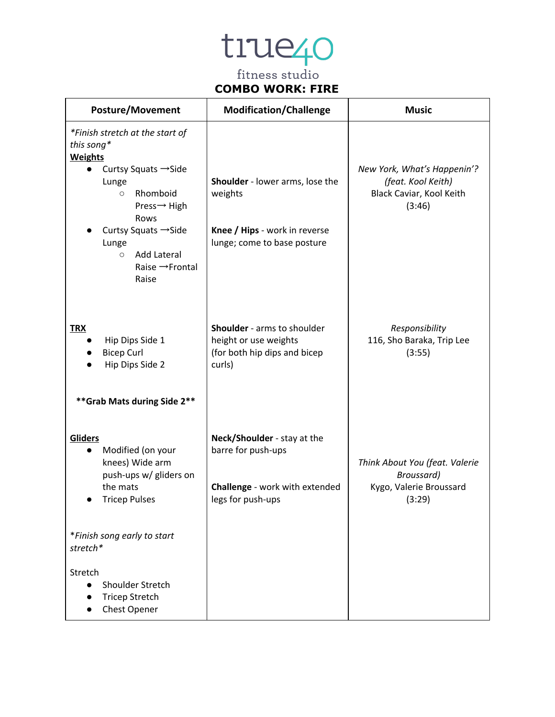

### **COMBO WORK: FIRE**

| <b>Posture/Movement</b>                                                                                                                                                                                                                                              | <b>Modification/Challenge</b>                                                                              | <b>Music</b>                                                                            |
|----------------------------------------------------------------------------------------------------------------------------------------------------------------------------------------------------------------------------------------------------------------------|------------------------------------------------------------------------------------------------------------|-----------------------------------------------------------------------------------------|
| *Finish stretch at the start of<br>this song*<br><b>Weights</b><br>Curtsy Squats $\rightarrow$ Side<br>Lunge<br>Rhomboid<br>$\circ$<br>Press→ High<br>Rows<br>Curtsy Squats → Side<br>Lunge<br><b>Add Lateral</b><br>$\circ$<br>Raise $\rightarrow$ Frontal<br>Raise | Shoulder - lower arms, lose the<br>weights<br>Knee / Hips - work in reverse<br>lunge; come to base posture | New York, What's Happenin'?<br>(feat. Kool Keith)<br>Black Caviar, Kool Keith<br>(3:46) |
| <b>TRX</b><br>Hip Dips Side 1<br><b>Bicep Curl</b><br>Hip Dips Side 2<br>** Grab Mats during Side 2**                                                                                                                                                                | Shoulder - arms to shoulder<br>height or use weights<br>(for both hip dips and bicep<br>curls)             | Responsibility<br>116, Sho Baraka, Trip Lee<br>(3:55)                                   |
| Gliders<br>Modified (on your<br>knees) Wide arm<br>push-ups w/ gliders on<br>the mats<br><b>Tricep Pulses</b><br>*Finish song early to start                                                                                                                         | Neck/Shoulder - stay at the<br>barre for push-ups<br>Challenge - work with extended<br>legs for push-ups   | Think About You (feat. Valerie<br>Broussard)<br>Kygo, Valerie Broussard<br>(3:29)       |
| stretch*<br>Stretch<br>Shoulder Stretch<br>$\bullet$<br><b>Tricep Stretch</b><br>Chest Opener                                                                                                                                                                        |                                                                                                            |                                                                                         |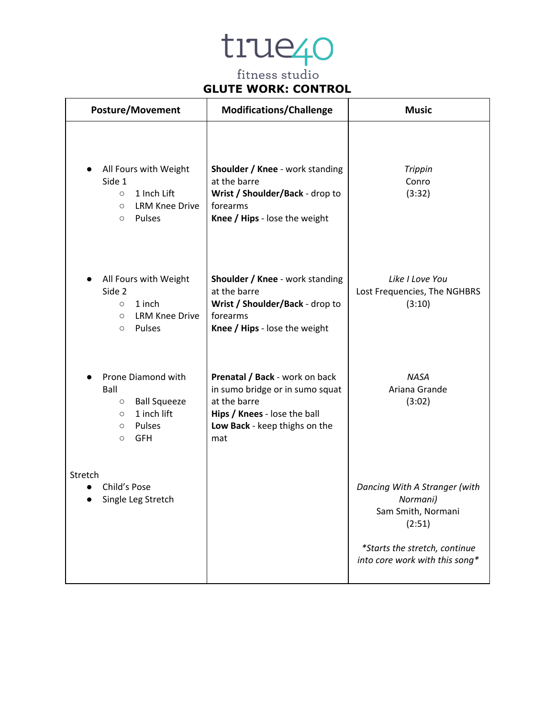### **GLUTE WORK: CONTROL**

| <b>Posture/Movement</b>                                                                                                              | <b>Modifications/Challenge</b>                                                                                                                            | <b>Music</b>                                                                                                                                 |
|--------------------------------------------------------------------------------------------------------------------------------------|-----------------------------------------------------------------------------------------------------------------------------------------------------------|----------------------------------------------------------------------------------------------------------------------------------------------|
| All Fours with Weight<br>Side 1<br>1 Inch Lift<br>$\circ$<br><b>LRM Knee Drive</b><br>$\circ$<br>Pulses<br>$\circ$                   | Shoulder / Knee - work standing<br>at the barre<br>Wrist / Shoulder/Back - drop to<br>forearms<br>Knee / Hips - lose the weight                           | <b>Trippin</b><br>Conro<br>(3:32)                                                                                                            |
| All Fours with Weight<br>Side 2<br>1 inch<br>$\circ$<br><b>LRM Knee Drive</b><br>$\circ$<br>Pulses<br>$\circ$                        | Shoulder / Knee - work standing<br>at the barre<br>Wrist / Shoulder/Back - drop to<br>forearms<br>Knee / Hips - lose the weight                           | Like I Love You<br>Lost Frequencies, The NGHBRS<br>(3:10)                                                                                    |
| Prone Diamond with<br>Ball<br><b>Ball Squeeze</b><br>$\circ$<br>1 inch lift<br>$\circ$<br>Pulses<br>$\circ$<br><b>GFH</b><br>$\circ$ | Prenatal / Back - work on back<br>in sumo bridge or in sumo squat<br>at the barre<br>Hips / Knees - lose the ball<br>Low Back - keep thighs on the<br>mat | <b>NASA</b><br>Ariana Grande<br>(3:02)                                                                                                       |
| Stretch<br>Child's Pose<br>Single Leg Stretch                                                                                        |                                                                                                                                                           | Dancing With A Stranger (with<br>Normani)<br>Sam Smith, Normani<br>(2:51)<br>*Starts the stretch, continue<br>into core work with this song* |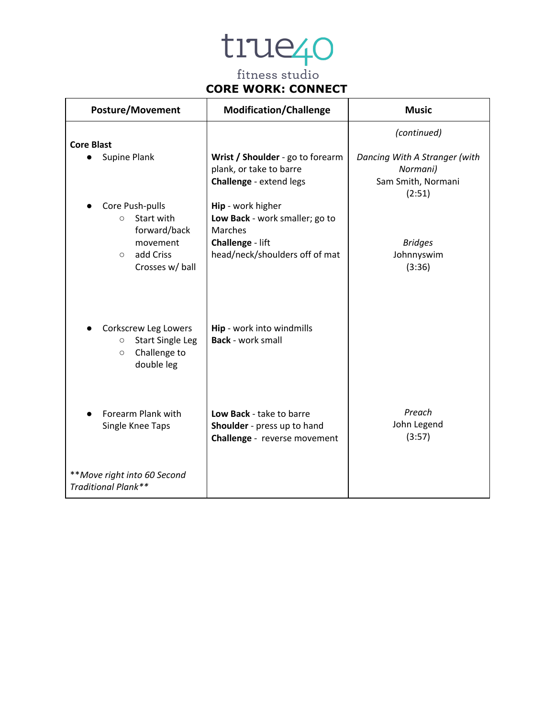### **CORE WORK: CONNECT**

| <b>Posture/Movement</b>                                                                             | <b>Modification/Challenge</b>                                                           | <b>Music</b>                                                              |
|-----------------------------------------------------------------------------------------------------|-----------------------------------------------------------------------------------------|---------------------------------------------------------------------------|
| <b>Core Blast</b>                                                                                   |                                                                                         | (continued)                                                               |
| Supine Plank                                                                                        | Wrist / Shoulder - go to forearm<br>plank, or take to barre<br>Challenge - extend legs  | Dancing With A Stranger (with<br>Normani)<br>Sam Smith, Normani<br>(2:51) |
| Core Push-pulls<br>Start with<br>$\circ$<br>forward/back                                            | Hip - work higher<br>Low Back - work smaller; go to<br>Marches                          |                                                                           |
| movement<br>add Criss<br>$\circ$<br>Crosses w/ ball                                                 | Challenge - lift<br>head/neck/shoulders off of mat                                      | <b>Bridges</b><br>Johnnyswim<br>(3:36)                                    |
| Corkscrew Leg Lowers<br><b>Start Single Leg</b><br>$\circ$<br>Challenge to<br>$\circ$<br>double leg | Hip - work into windmills<br><b>Back</b> - work small                                   |                                                                           |
| Forearm Plank with<br>Single Knee Taps                                                              | Low Back - take to barre<br>Shoulder - press up to hand<br>Challenge - reverse movement | Preach<br>John Legend<br>(3:57)                                           |
| **Move right into 60 Second<br>Traditional Plank**                                                  |                                                                                         |                                                                           |